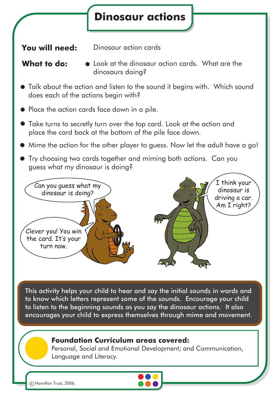

to know which letters represent some of the sounds. Encourage your child to listen to the beginning sounds as you say the dinosaur actions. It also encourages your child to express themselves through mime and movement.

## **Foundation Curriculum areas covered:**

Personal, Social and Emotional Development; and Communication, Language and Literacy.